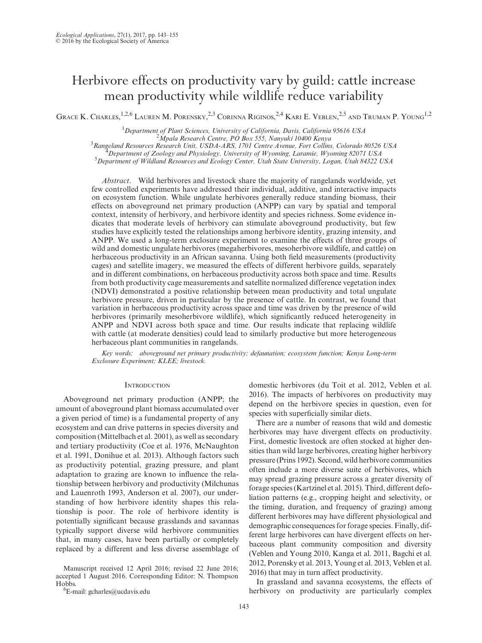# Herbivore effects on productivity vary by guild: cattle increase mean productivity while wildlife reduce variability

Grace K. Charles, <sup>1,2,6</sup> Lauren M. Porensky, <sup>2,3</sup> Corinna Riginos, <sup>2,4</sup> Kari E. Veblen, <sup>2,5</sup> and Truman P. Young<sup>1,2</sup>

<sup>1</sup>Department of Plant Sciences, University of California, Davis, California 95616 USA<br><sup>2</sup>Mnala Bessarsh Cantra, PO Pox 555, Nanyuki 10400 Kanya *Mpala Research Centre, PO Box 555, Nanyuki 10400 Kenya* <sup>3</sup> *Rangeland Resources Research Unit, USDA-ARS, 1701 Centre Avenue, Fort Collins, Colorado 80526 USA* <sup>4</sup> <sup>*Department of Zoology and Physiology, University of Wyoming, Laramie, Wyoming 82071 USA*</sup> *Department of Wildland Resources and Ecology Center, Utah State University, Logan, Utah 84322 USA*

*Abstract*. Wild herbivores and livestock share the majority of rangelands worldwide, yet few controlled experiments have addressed their individual, additive, and interactive impacts on ecosystem function. While ungulate herbivores generally reduce standing biomass, their effects on aboveground net primary production (ANPP) can vary by spatial and temporal context, intensity of herbivory, and herbivore identity and species richness. Some evidence indicates that moderate levels of herbivory can stimulate aboveground productivity, but few studies have explicitly tested the relationships among herbivore identity, grazing intensity, and ANPP. We used a long-term exclosure experiment to examine the effects of three groups of wild and domestic ungulate herbivores (megaherbivores, mesoherbivore wildlife, and cattle) on herbaceous productivity in an African savanna. Using both field measurements (productivity cages) and satellite imagery, we measured the effects of different herbivore guilds, separately and in different combinations, on herbaceous productivity across both space and time. Results from both productivity cage measurements and satellite normalized difference vegetation index (NDVI) demonstrated a positive relationship between mean productivity and total ungulate herbivore pressure, driven in particular by the presence of cattle. In contrast, we found that variation in herbaceous productivity across space and time was driven by the presence of wild herbivores (primarily mesoherbivore wildlife), which significantly reduced heterogeneity in ANPP and NDVI across both space and time. Our results indicate that replacing wildlife with cattle (at moderate densities) could lead to similarly productive but more heterogeneous herbaceous plant communities in rangelands.

*Key words: aboveground net primary productivity; defaunation; ecosystem function; Kenya Long-term Exclosure Experiment; KLEE; livestock.*

#### **INTRODUCTION**

Aboveground net primary production (ANPP; the amount of aboveground plant biomass accumulated over a given period of time) is a fundamental property of any ecosystem and can drive patterns in species diversity and composition (Mittelbach et al. 2001), as well as secondary and tertiary productivity (Coe et al. 1976, McNaughton et al. 1991, Donihue et al. 2013). Although factors such as productivity potential, grazing pressure, and plant adaptation to grazing are known to influence the relationship between herbivory and productivity (Milchunas and Lauenroth 1993, Anderson et al. 2007), our understanding of how herbivore identity shapes this relationship is poor. The role of herbivore identity is potentially significant because grasslands and savannas typically support diverse wild herbivore communities that, in many cases, have been partially or completely replaced by a different and less diverse assemblage of

Manuscript received 12 April 2016; revised 22 June 2016; accepted 1 August 2016. Corresponding Editor: N. Thompson Hobbs.

<sup>6</sup>E-mail: [gcharles@ucdavis.edu](mailto:gcharles@ucdavis.edu)

domestic herbivores (du Toit et al. 2012, Veblen et al. 2016). The impacts of herbivores on productivity may depend on the herbivore species in question, even for species with superficially similar diets.

There are a number of reasons that wild and domestic herbivores may have divergent effects on productivity. First, domestic livestock are often stocked at higher densities than wild large herbivores, creating higher herbivory pressure (Prins 1992). Second, wild herbivore communities often include a more diverse suite of herbivores, which may spread grazing pressure across a greater diversity of forage species (Kartzinel et al. 2015). Third, different defoliation patterns (e.g., cropping height and selectivity, or the timing, duration, and frequency of grazing) among different herbivores may have different physiological and demographic consequences for forage species. Finally, different large herbivores can have divergent effects on herbaceous plant community composition and diversity (Veblen and Young 2010, Kanga et al. 2011, Bagchi et al. 2012, Porensky et al. 2013, Young et al. 2013, Veblen et al. 2016) that may in turn affect productivity.

In grassland and savanna ecosystems, the effects of herbivory on productivity are particularly complex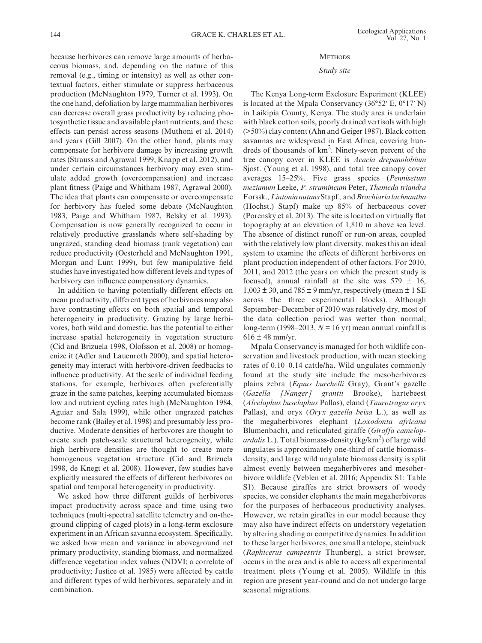## **METHODS**

# *Study site*

ceous biomass, and, depending on the nature of this removal (e.g., timing or intensity) as well as other contextual factors, either stimulate or suppress herbaceous production (McNaughton 1979, Turner et al. 1993). On the one hand, defoliation by large mammalian herbivores can decrease overall grass productivity by reducing photosynthetic tissue and available plant nutrients, and these effects can persist across seasons (Muthoni et al. 2014) and years (Gill 2007). On the other hand, plants may compensate for herbivore damage by increasing growth rates (Strauss and Agrawal 1999, Knapp et al. 2012), and under certain circumstances herbivory may even stimulate added growth (overcompensation) and increase plant fitness (Paige and Whitham 1987, Agrawal 2000). The idea that plants can compensate or overcompensate for herbivory has fueled some debate (McNaughton 1983, Paige and Whitham 1987, Belsky et al. 1993). Compensation is now generally recognized to occur in relatively productive grasslands where self-shading by ungrazed, standing dead biomass (rank vegetation) can reduce productivity (Oesterheld and McNaughton 1991, Morgan and Lunt 1999), but few manipulative field studies have investigated how different levels and types of herbivory can influence compensatory dynamics.

because herbivores can remove large amounts of herba-

In addition to having potentially different effects on mean productivity, different types of herbivores may also have contrasting effects on both spatial and temporal heterogeneity in productivity. Grazing by large herbivores, both wild and domestic, has the potential to either increase spatial heterogeneity in vegetation structure (Cid and Brizuela 1998, Olofsson et al. 2008) or homogenize it (Adler and Lauenroth 2000), and spatial heterogeneity may interact with herbivore-driven feedbacks to influence productivity. At the scale of individual feeding stations, for example, herbivores often preferentially graze in the same patches, keeping accumulated biomass low and nutrient cycling rates high (McNaughton 1984, Aguiar and Sala 1999), while other ungrazed patches become rank (Bailey et al. 1998) and presumably less productive. Moderate densities of herbivores are thought to create such patch-scale structural heterogeneity, while high herbivore densities are thought to create more homogenous vegetation structure (Cid and Brizuela 1998, de Knegt et al. 2008). However, few studies have explicitly measured the effects of different herbivores on spatial and temporal heterogeneity in productivity.

We asked how three different guilds of herbivores impact productivity across space and time using two techniques (multi-spectral satellite telemetry and on-theground clipping of caged plots) in a long-term exclosure experiment in an African savanna ecosystem. Specifically, we asked how mean and variance in aboveground net primary productivity, standing biomass, and normalized difference vegetation index values (NDVI; a correlate of productivity; Justice et al. 1985) were affected by cattle and different types of wild herbivores, separately and in combination.

The Kenya Long-term Exclosure Experiment (KLEE) is located at the Mpala Conservancy (36°52′ E, 0°17′ N) in Laikipia County, Kenya. The study area is underlain with black cotton soils, poorly drained vertisols with high (>50%) clay content (Ahn and Geiger 1987). Black cotton savannas are widespread in East Africa, covering hundreds of thousands of km<sup>2</sup>. Ninety-seven percent of the tree canopy cover in KLEE is *Acacia drepanolobium* Sjost. (Young et al. 1998), and total tree canopy cover averages 15–25%. Five grass species (*Pennisetum mezianum* Leeke, *P. stramineum* Peter, *Themeda triandra* Forssk.*, Lintonia nutans* Stapf.*,* and *Brachiaria lachnantha* (Hochst.) Stapf) make up 85% of herbaceous cover (Porensky et al. 2013). The site is located on virtually flat topography at an elevation of 1,810 m above sea level. The absence of distinct runoff or run-on areas, coupled with the relatively low plant diversity, makes this an ideal system to examine the effects of different herbivores on plant production independent of other factors. For 2010, 2011, and 2012 (the years on which the present study is focused), annual rainfall at the site was  $579 \pm 16$ ,  $1,003 \pm 30$ , and  $785 \pm 9$  mm/yr, respectively (mean  $\pm 1$  SE across the three experimental blocks). Although September–December of 2010 was relatively dry, most of the data collection period was wetter than normal; long-term (1998–2013,  $N = 16$  yr) mean annual rainfall is  $616 \pm 48$  mm/yr.

Mpala Conservancy is managed for both wildlife conservation and livestock production, with mean stocking rates of 0.10–0.14 cattle/ha. Wild ungulates commonly found at the study site include the mesoherbivores plains zebra (*Equus burchelli* Gray), Grant's gazelle (*Gazella [Nanger] grantii* Brooke), hartebeest (*Alcelaphus buselaphus* Pallas), eland (*Taurotragus oryx* Pallas), and oryx (*Oryx gazella beisa* L.), as well as the megaherbivores elephant (*Loxodonta africana* Blumenbach), and reticulated giraffe (*Giraffa camelop*ardalis L.). Total biomass-density (kg/km<sup>2</sup>) of large wild ungulates is approximately one-third of cattle biomassdensity, and large wild ungulate biomass density is split almost evenly between megaherbivores and mesoherbivore wildlife (Veblen et al. 2016; Appendix S1: Table S1). Because giraffes are strict browsers of woody species, we consider elephants the main megaherbivores for the purposes of herbaceous productivity analyses. However, we retain giraffes in our model because they may also have indirect effects on understory vegetation by altering shading or competitive dynamics. In addition to these larger herbivores, one small antelope, steinbuck (*Raphicerus campestris* Thunberg), a strict browser, occurs in the area and is able to access all experimental treatment plots (Young et al. 2005). Wildlife in this region are present year-round and do not undergo large seasonal migrations.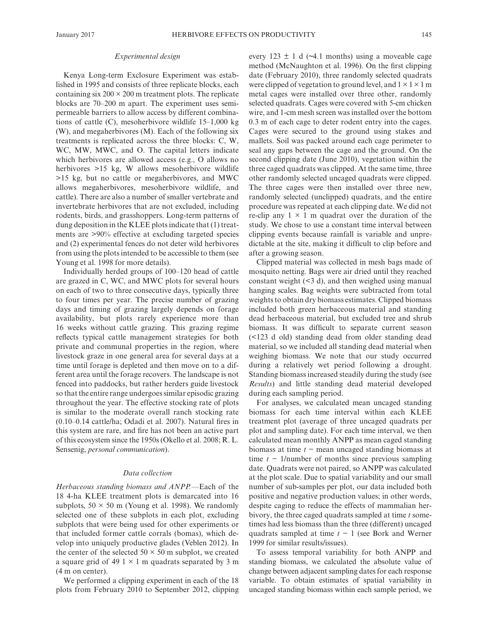#### *Experimental design*

Kenya Long-term Exclosure Experiment was established in 1995 and consists of three replicate blocks, each containing six  $200 \times 200$  m treatment plots. The replicate blocks are 70–200 m apart. The experiment uses semipermeable barriers to allow access by different combinations of cattle (C), mesoherbivore wildlife 15–1,000 kg (W), and megaherbivores (M). Each of the following six treatments is replicated across the three blocks: C, W, WC, MW, MWC, and O. The capital letters indicate which herbivores are allowed access (e.g., O allows no herbivores >15 kg, W allows mesoherbivore wildlife >15 kg, but no cattle or megaherbivores, and MWC allows megaherbivores, mesoherbivore wildlife, and cattle). There are also a number of smaller vertebrate and invertebrate herbivores that are not excluded, including rodents, birds, and grasshoppers. Long-term patterns of dung deposition in the KLEE plots indicate that (1) treatments are >90% effective at excluding targeted species and (2) experimental fences do not deter wild herbivores from using the plots intended to be accessible to them (see Young et al. 1998 for more details).

Individually herded groups of 100–120 head of cattle are grazed in C, WC, and MWC plots for several hours on each of two to three consecutive days, typically three to four times per year. The precise number of grazing days and timing of grazing largely depends on forage availability, but plots rarely experience more than 16 weeks without cattle grazing. This grazing regime reflects typical cattle management strategies for both private and communal properties in the region, where livestock graze in one general area for several days at a time until forage is depleted and then move on to a different area until the forage recovers. The landscape is not fenced into paddocks, but rather herders guide livestock so that the entire range undergoes similar episodic grazing throughout the year. The effective stocking rate of plots is similar to the moderate overall ranch stocking rate (0.10–0.14 cattle/ha; Odadi et al. 2007). Natural fires in this system are rare, and fire has not been an active part of this ecosystem since the 1950s (Okello et al. 2008; R. L. Sensenig, *personal communication*).

## *Data collection*

*Herbaceous standing biomass and ANPP.—*Each of the 18 4-ha KLEE treatment plots is demarcated into 16 subplots,  $50 \times 50$  m (Young et al. 1998). We randomly selected one of these subplots in each plot, excluding subplots that were being used for other experiments or that included former cattle corrals (bomas), which develop into uniquely productive glades (Veblen 2012). In the center of the selected  $50 \times 50$  m subplot, we created a square grid of 49  $1 \times 1$  m quadrats separated by 3 m (4 m on center).

We performed a clipping experiment in each of the 18 plots from February 2010 to September 2012, clipping every 123  $\pm$  1 d ( $\sim$ 4.1 months) using a moveable cage method (McNaughton et al. 1996). On the first clipping date (February 2010), three randomly selected quadrats were clipped of vegetation to ground level, and  $1 \times 1 \times 1$  m metal cages were installed over three other, randomly selected quadrats. Cages were covered with 5-cm chicken wire, and 1-cm mesh screen was installed over the bottom 0.3 m of each cage to deter rodent entry into the cages. Cages were secured to the ground using stakes and mallets. Soil was packed around each cage perimeter to seal any gaps between the cage and the ground. On the second clipping date (June 2010), vegetation within the three caged quadrats was clipped. At the same time, three other randomly selected uncaged quadrats were clipped. The three cages were then installed over three new, randomly selected (unclipped) quadrats, and the entire procedure was repeated at each clipping date. We did not re-clip any  $1 \times 1$  m quadrat over the duration of the study. We chose to use a constant time interval between clipping events because rainfall is variable and unpredictable at the site, making it difficult to clip before and after a growing season.

Clipped material was collected in mesh bags made of mosquito netting. Bags were air dried until they reached constant weight (<3 d), and then weighed using manual hanging scales. Bag weights were subtracted from total weights to obtain dry biomass estimates. Clipped biomass included both green herbaceous material and standing dead herbaceous material, but excluded tree and shrub biomass. It was difficult to separate current season (<123 d old) standing dead from older standing dead material, so we included all standing dead material when weighing biomass. We note that our study occurred during a relatively wet period following a drought. Standing biomass increased steadily during the study (see *Results*) and little standing dead material developed during each sampling period.

For analyses, we calculated mean uncaged standing biomass for each time interval within each KLEE treatment plot (average of three uncaged quadrats per plot and sampling date). For each time interval, we then calculated mean monthly ANPP as mean caged standing biomass at time *t* − mean uncaged standing biomass at time *t* − 1/number of months since previous sampling date. Quadrats were not paired, so ANPP was calculated at the plot scale. Due to spatial variability and our small number of sub-samples per plot, our data included both positive and negative production values; in other words, despite caging to reduce the effects of mammalian herbivory, the three caged quadrats sampled at time *t* sometimes had less biomass than the three (different) uncaged quadrats sampled at time *t* − 1 (see Bork and Werner 1999 for similar results/issues).

To assess temporal variability for both ANPP and standing biomass, we calculated the absolute value of change between adjacent sampling dates for each response variable. To obtain estimates of spatial variability in uncaged standing biomass within each sample period, we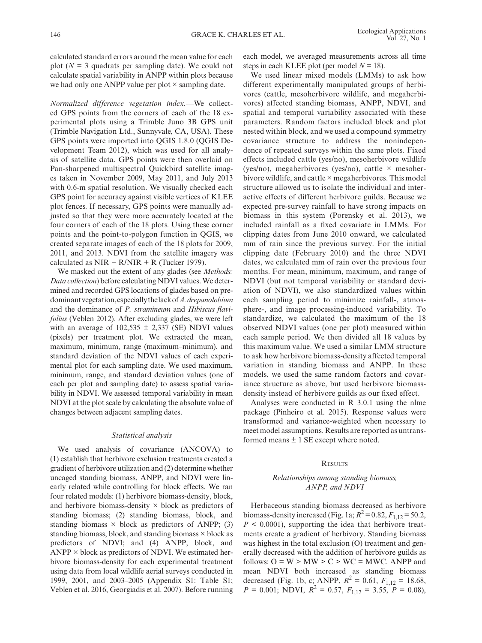calculated standard errors around the mean value for each plot  $(N = 3$  quadrats per sampling date). We could not calculate spatial variability in ANPP within plots because we had only one ANPP value per plot  $\times$  sampling date.

*Normalized difference vegetation index.—*We collected GPS points from the corners of each of the 18 experimental plots using a Trimble Juno 3B GPS unit (Trimble Navigation Ltd., Sunnyvale, CA, USA). These GPS points were imported into QGIS 1.8.0 (QGIS Development Team 2012), which was used for all analysis of satellite data. GPS points were then overlaid on Pan-sharpened multispectral Quickbird satellite images taken in November 2009, May 2011, and July 2013 with 0.6-m spatial resolution. We visually checked each GPS point for accuracy against visible vertices of KLEE plot fences. If necessary, GPS points were manually adjusted so that they were more accurately located at the four corners of each of the 18 plots. Using these corner points and the point-to-polygon function in QGIS, we created separate images of each of the 18 plots for 2009, 2011, and 2013. NDVI from the satellite imagery was calculated as NIR –  $R/NIR + R$  (Tucker 1979).

We masked out the extent of any glades (see *Methods: Data collection*) before calculating NDVI values. We determined and recorded GPS locations of glades based on predominant vegetation, especially the lack of *A.drepanolobium* and the dominance of *P. stramineum* and *Hibiscus flavifolius* (Veblen 2012). After excluding glades, we were left with an average of  $102,535 \pm 2,337$  (SE) NDVI values (pixels) per treatment plot. We extracted the mean, maximum, minimum, range (maximum–minimum), and standard deviation of the NDVI values of each experimental plot for each sampling date. We used maximum, minimum, range, and standard deviation values (one of each per plot and sampling date) to assess spatial variability in NDVI. We assessed temporal variability in mean NDVI at the plot scale by calculating the absolute value of changes between adjacent sampling dates.

# *Statistical analysis*

We used analysis of covariance (ANCOVA) to (1) establish that herbivore exclusion treatments created a gradient of herbivore utilization and (2) determine whether uncaged standing biomass, ANPP, and NDVI were linearly related while controlling for block effects. We ran four related models: (1) herbivore biomass-density, block, and herbivore biomass-density  $\times$  block as predictors of standing biomass; (2) standing biomass, block, and standing biomass  $\times$  block as predictors of ANPP; (3) standing biomass, block, and standing biomass  $\times$  block as predictors of NDVI; and (4) ANPP, block, and  $ANPP \times block$  as predictors of NDVI. We estimated herbivore biomass-density for each experimental treatment using data from local wildlife aerial surveys conducted in 1999, 2001, and 2003–2005 (Appendix S1: Table S1; Veblen et al. 2016, Georgiadis et al. 2007). Before running

each model, we averaged measurements across all time steps in each KLEE plot (per model  $N = 18$ ).

We used linear mixed models (LMMs) to ask how different experimentally manipulated groups of herbivores (cattle, mesoherbivore wildlife, and megaherbivores) affected standing biomass, ANPP, NDVI, and spatial and temporal variability associated with these parameters. Random factors included block and plot nested within block, and we used a compound symmetry covariance structure to address the nonindependence of repeated surveys within the same plots. Fixed effects included cattle (yes/no), mesoherbivore wildlife (yes/no), megaherbivores (yes/no), cattle  $\times$  mesoherbivore wildlife, and cattle × megaherbivores. This model structure allowed us to isolate the individual and interactive effects of different herbivore guilds. Because we expected pre-survey rainfall to have strong impacts on biomass in this system (Porensky et al. 2013), we included rainfall as a fixed covariate in LMMs. For clipping dates from June 2010 onward, we calculated mm of rain since the previous survey. For the initial clipping date (February 2010) and the three NDVI dates, we calculated mm of rain over the previous four months. For mean, minimum, maximum, and range of NDVI (but not temporal variability or standard deviation of NDVI), we also standardized values within each sampling period to minimize rainfall-, atmosphere-, and image processing-induced variability. To standardize, we calculated the maximum of the 18 observed NDVI values (one per plot) measured within each sample period. We then divided all 18 values by this maximum value. We used a similar LMM structure to ask how herbivore biomass-density affected temporal variation in standing biomass and ANPP. In these models, we used the same random factors and covariance structure as above, but used herbivore biomassdensity instead of herbivore guilds as our fixed effect.

Analyses were conducted in R 3.0.1 using the nlme package (Pinheiro et al. 2015). Response values were transformed and variance-weighted when necessary to meet model assumptions. Results are reported as untransformed means  $\pm$  1 SE except where noted.

## **RESULTS**

# *Relationships among standing biomass, ANPP, and NDVI*

Herbaceous standing biomass decreased as herbivore biomass-density increased (Fig. 1a;  $R^2 = 0.82, F_{1,12} = 50.2$ ,  $P \leq 0.0001$ , supporting the idea that herbivore treatments create a gradient of herbivory. Standing biomass was highest in the total exclusion (O) treatment and generally decreased with the addition of herbivore guilds as follows:  $O = W > MW > C > WC = MWC$ . ANPP and mean NDVI both increased as standing biomass decreased (Fig. 1b, c; ANPP,  $R^2 = 0.61$ ,  $F_{1,12} = 18.68$ ,  $P = 0.001$ ; NDVI,  $R^2 = 0.57$ ,  $F_{1,12} = 3.55$ ,  $P = 0.08$ ),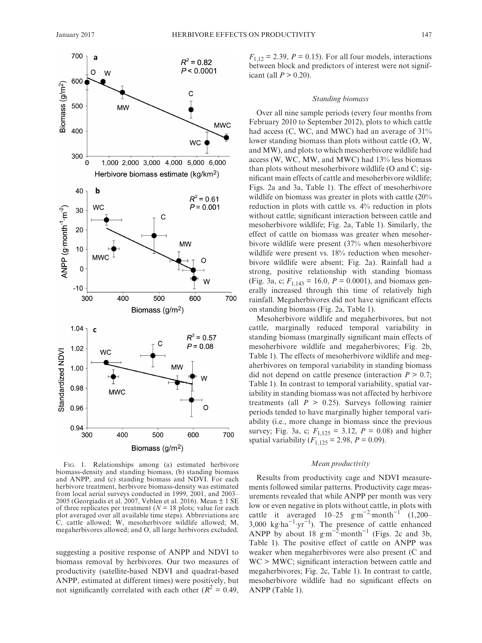

Fig. 1. Relationships among (a) estimated herbivore biomass-density and standing biomass, (b) standing biomass and ANPP, and (c) standing biomass and NDVI. For each herbivore treatment, herbivore biomass-density was estimated from local aerial surveys conducted in 1999, 2001, and 2003– 2005 (Georgiadis et al. 2007, Veblen et al. 2016). Mean ± 1 SE of three replicates per treatment ( $N = 18$  plots; value for each plot averaged over all available time steps). Abbreviations are C, cattle allowed; W, mesoherbivore wildlife allowed; M, megaherbivores allowed; and O, all large herbivores excluded.

suggesting a positive response of ANPP and NDVI to biomass removal by herbivores. Our two measures of productivity (satellite-based NDVI and quadrat-based ANPP, estimated at different times) were positively, but not significantly correlated with each other  $(R^2 = 0.49)$ ,

 $F_{1,12} = 2.39$ ,  $P = 0.15$ ). For all four models, interactions between block and predictors of interest were not significant (all  $P > 0.20$ ).

# *Standing biomass*

Over all nine sample periods (every four months from February 2010 to September 2012), plots to which cattle had access (C, WC, and MWC) had an average of  $31\%$ lower standing biomass than plots without cattle (O, W, and MW), and plots to which mesoherbivore wildlife had access (W, WC, MW, and MWC) had 13% less biomass than plots without mesoherbivore wildlife (O and C; significant main effects of cattle and mesoherbivore wildlife; Figs. 2a and 3a, Table 1). The effect of mesoherbivore wildlife on biomass was greater in plots with cattle (20% reduction in plots with cattle vs. 4% reduction in plots without cattle; significant interaction between cattle and mesoherbivore wildlife; Fig. 2a, Table 1). Similarly, the effect of cattle on biomass was greater when mesoherbivore wildlife were present (37% when mesoherbivore wildlife were present vs. 18% reduction when mesoherbivore wildlife were absent; Fig. 2a). Rainfall had a strong, positive relationship with standing biomass (Fig. 3a, c;  $F_{1,143} = 16.0, P = 0.0001$ ), and biomass generally increased through this time of relatively high rainfall. Megaherbivores did not have significant effects on standing biomass (Fig. 2a, Table 1).

Mesoherbivore wildlife and megaherbivores, but not cattle, marginally reduced temporal variability in standing biomass (marginally significant main effects of mesoherbivore wildlife and megaherbivores; Fig. 2b, Table 1). The effects of mesoherbivore wildlife and megaherbivores on temporal variability in standing biomass did not depend on cattle presence (interaction  $P > 0.7$ ; Table 1). In contrast to temporal variability, spatial variability in standing biomass was not affected by herbivore treatments (all  $P > 0.25$ ). Surveys following rainier periods tended to have marginally higher temporal variability (i.e., more change in biomass since the previous survey; Fig. 3a, c;  $F_{1,125} = 3.12$ ,  $P = 0.08$ ) and higher spatial variability  $(F_{1,125} = 2.98, P = 0.09)$ .

# *Mean productivity*

Results from productivity cage and NDVI measurements followed similar patterns. Productivity cage measurements revealed that while ANPP per month was very low or even negative in plots without cattle, in plots with cattle it averaged  $10-25$  g·m<sup>-2</sup>·month<sup>-1</sup> (1,200– 3,000 kg⋅ha<sup>-1</sup>⋅yr<sup>-1</sup>). The presence of cattle enhanced ANPP by about 18 g·m<sup>-2</sup>·month<sup>-1</sup> (Figs. 2c and 3b, Table 1). The positive effect of cattle on ANPP was weaker when megaherbivores were also present (C and WC > MWC; significant interaction between cattle and megaherbivores; Fig. 2c, Table 1). In contrast to cattle, mesoherbivore wildlife had no significant effects on ANPP (Table 1).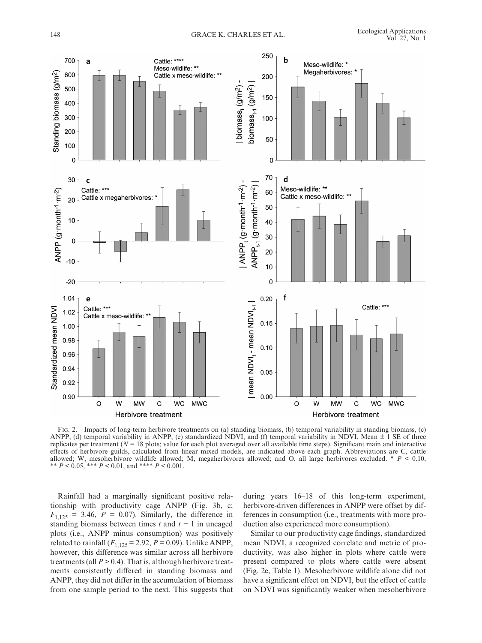

Fig. 2. Impacts of long-term herbivore treatments on (a) standing biomass, (b) temporal variability in standing biomass, (c) ANPP, (d) temporal variability in ANPP, (e) standardized NDVI, and (f) temporal variability in NDVI. Mean  $\pm$  1 SE of three replicates per treatment  $(N = 18$  plots; value for each plot averaged over all available time steps). Significant main and interactive effects of herbivore guilds, calculated from linear mixed models, are indicated above each graph. Abbreviations are C, cattle allowed; W, mesoherbivore wildlife allowed; M, megaherbivores allowed; and O, all large herbivores excluded. \* *P* < 0.10, \*\* *P* < 0.05, \*\*\* *P* < 0.01, and \*\*\*\* *P* < 0.001.

Rainfall had a marginally significant positive relationship with productivity cage ANPP (Fig. 3b, c;  $F_{1,125} = 3.46$ ,  $P = 0.07$ ). Similarly, the difference in standing biomass between times *t* and *t* − 1 in uncaged plots (i.e., ANPP minus consumption) was positively related to rainfall  $(F_{1,125} = 2.92, P = 0.09)$ . Unlike ANPP, however, this difference was similar across all herbivore treatments (all  $P > 0.4$ ). That is, although herbivore treatments consistently differed in standing biomass and ANPP, they did not differ in the accumulation of biomass from one sample period to the next. This suggests that during years 16–18 of this long-term experiment, herbivore-driven differences in ANPP were offset by differences in consumption (i.e., treatments with more production also experienced more consumption).

Similar to our productivity cage findings, standardized mean NDVI, a recognized correlate and metric of productivity, was also higher in plots where cattle were present compared to plots where cattle were absent (Fig. 2e, Table 1). Mesoherbivore wildlife alone did not have a significant effect on NDVI, but the effect of cattle on NDVI was significantly weaker when mesoherbivore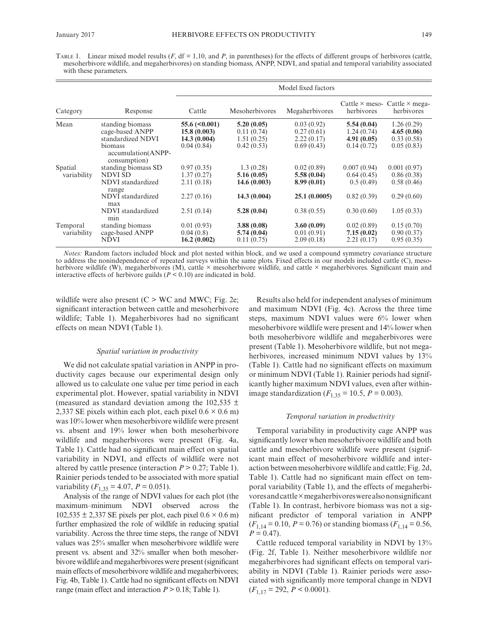TABLE 1. Linear mixed model results  $(F, df = 1, 10, and P,$  in parentheses) for the effects of different groups of herbivores (cattle, mesoherbivore wildlife, and megaherbivores) on standing biomass, ANPP, NDVI, and spatial and temporal variability associated with these parameters.

| Category                | Response                                                                                                             | Model fixed factors                                                |                                                                     |                                                                      |                                                                    |                                                                     |
|-------------------------|----------------------------------------------------------------------------------------------------------------------|--------------------------------------------------------------------|---------------------------------------------------------------------|----------------------------------------------------------------------|--------------------------------------------------------------------|---------------------------------------------------------------------|
|                         |                                                                                                                      | Cattle                                                             | Mesoherbivores                                                      | Megaherbivores                                                       | herbivores                                                         | Cattle $\times$ meso- Cattle $\times$ mega-<br>herbivores           |
| Mean                    | standing biomass<br>cage-based ANPP<br>standardized NDVI<br>biomass<br>accumulation(ANPP-<br>consumption)            | $55.6 \, (\leq 0.001)$<br>15.8(0.003)<br>14.3(0.004)<br>0.04(0.84) | 5.20(0.05)<br>0.11(0.74)<br>1.51(0.25)<br>0.42(0.53)                | 0.03(0.92)<br>0.27(0.61)<br>2.22(0.17)<br>0.69(0.43)                 | 5.54(0.04)<br>1.24(0.74)<br>4.91(0.05)<br>0.14(0.72)               | 1.26(0.29)<br>4.65(0.06)<br>0.33(0.58)<br>0.05(0.83)                |
| Spatial<br>variability  | standing biomass SD<br>NDVI SD<br>NDVI standardized<br>range<br>NDVI standardized<br>max<br>NDVI standardized<br>min | 0.97(0.35)<br>1.37(0.27)<br>2.11(0.18)<br>2.27(0.16)<br>2.51(0.14) | 1.3(0.28)<br>5.16(0.05)<br>14.6(0.003)<br>14.3(0.004)<br>5.28(0.04) | 0.02(0.89)<br>5.58(0.04)<br>8.99(0.01)<br>25.1(0.0005)<br>0.38(0.55) | 0.007(0.94)<br>0.64(0.45)<br>0.5(0.49)<br>0.82(0.39)<br>0.30(0.60) | 0.001(0.97)<br>0.86(0.38)<br>0.58(0.46)<br>0.29(0.60)<br>1.05(0.33) |
| Temporal<br>variability | standing biomass<br>cage-based ANPP<br><b>NDVI</b>                                                                   | 0.01(0.93)<br>0.04(0.8)<br>16.2(0.002)                             | 3.88(0.08)<br>5.74(0.04)<br>0.11(0.75)                              | 3.60(0.09)<br>0.01(0.91)<br>2.09(0.18)                               | 0.02(0.89)<br>7.15(0.02)<br>2.21(0.17)                             | 0.15(0.70)<br>0.90(0.37)<br>0.95(0.35)                              |

*Notes:* Random factors included block and plot nested within block, and we used a compound symmetry covariance structure to address the nonindependence of repeated surveys within the same plots. Fixed effects in our models included cattle (C), mesoherbivore wildlife (W), megaherbivores (M), cattle  $\times$  mesoherbivore wildlife, and cattle  $\times$  megaherbivores. Significant main and interactive effects of herbivore guilds  $(P < 0.10)$  are indicated in bold.

wildlife were also present  $(C > WC)$  and MWC; Fig. 2e; significant interaction between cattle and mesoherbivore wildlife; Table 1). Megaherbivores had no significant effects on mean NDVI (Table 1).

## *Spatial variation in productivity*

We did not calculate spatial variation in ANPP in productivity cages because our experimental design only allowed us to calculate one value per time period in each experimental plot. However, spatial variability in NDVI (measured as standard deviation among the 102,535  $\pm$ 2,337 SE pixels within each plot, each pixel  $0.6 \times 0.6$  m) was 10% lower when mesoherbivore wildlife were present vs. absent and 19% lower when both mesoherbivore wildlife and megaherbivores were present (Fig. 4a, Table 1). Cattle had no significant main effect on spatial variability in NDVI, and effects of wildlife were not altered by cattle presence (interaction  $P > 0.27$ ; Table 1). Rainier periods tended to be associated with more spatial variability  $(F_{1,35} = 4.07, P = 0.051)$ .

Analysis of the range of NDVI values for each plot (the maximum–minimum NDVI observed across the  $102,535 \pm 2,337$  SE pixels per plot, each pixel  $0.6 \times 0.6$  m) further emphasized the role of wildlife in reducing spatial variability. Across the three time steps, the range of NDVI values was 25% smaller when mesoherbivore wildlife were present vs. absent and 32% smaller when both mesoherbivore wildlife and megaherbivores were present (significant main effects of mesoherbivore wildlife and megaherbivores; Fig. 4b, Table 1). Cattle had no significant effects on NDVI range (main effect and interaction  $P > 0.18$ ; Table 1).

Results also held for independent analyses of minimum and maximum NDVI (Fig. 4c). Across the three time steps, maximum NDVI values were 6% lower when mesoherbivore wildlife were present and 14% lower when both mesoherbivore wildlife and megaherbivores were present (Table 1). Mesoherbivore wildlife, but not megaherbivores, increased minimum NDVI values by 13% (Table 1). Cattle had no significant effects on maximum or minimum NDVI (Table 1). Rainier periods had significantly higher maximum NDVI values, even after withinimage standardization ( $F_{1,35} = 10.5$ ,  $P = 0.003$ ).

## *Temporal variation in productivity*

Temporal variability in productivity cage ANPP was significantly lower when mesoherbivore wildlife and both cattle and mesoherbivore wildlife were present (significant main effect of mesoherbivore wildlife and interaction between mesoherbivore wildlife and cattle; Fig. 2d, Table 1). Cattle had no significant main effect on temporal variability (Table 1), and the effects of megaherbivores and cattle×megaherbivores were also nonsignificant (Table 1). In contrast, herbivore biomass was not a significant predictor of temporal variation in ANPP  $(F_{1,14} = 0.10, P = 0.76)$  or standing biomass  $(F_{1,14} = 0.56,$  $P = 0.47$ .

Cattle reduced temporal variability in NDVI by 13% (Fig. 2f, Table 1). Neither mesoherbivore wildlife nor megaherbivores had significant effects on temporal variability in NDVI (Table 1). Rainier periods were associated with significantly more temporal change in NDVI  $(F_{1,17} = 292, P \le 0.0001).$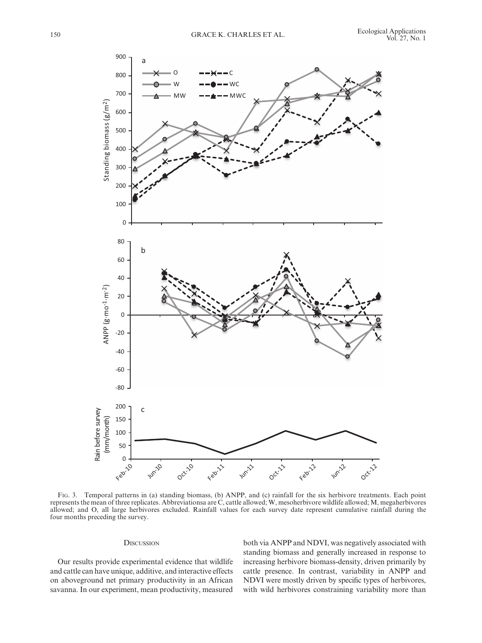

Fig. 3. Temporal patterns in (a) standing biomass, (b) ANPP, and (c) rainfall for the six herbivore treatments. Each point represents the mean of three replicates. Abbreviationsa are C, cattle allowed; W, mesoherbivore wildlife allowed; M, megaherbivores allowed; and O, all large herbivores excluded. Rainfall values for each survey date represent cumulative rainfall during the four months preceding the survey.

# **DISCUSSION**

Our results provide experimental evidence that wildlife and cattle can have unique, additive, and interactive effects on aboveground net primary productivity in an African savanna. In our experiment, mean productivity, measured both via ANPP and NDVI, was negatively associated with standing biomass and generally increased in response to increasing herbivore biomass-density, driven primarily by cattle presence. In contrast, variability in ANPP and NDVI were mostly driven by specific types of herbivores, with wild herbivores constraining variability more than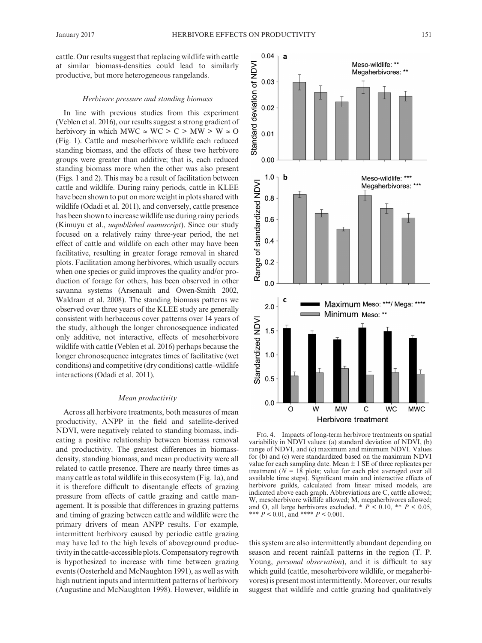cattle. Our results suggest that replacing wildlife with cattle at similar biomass-densities could lead to similarly productive, but more heterogeneous rangelands.

# *Herbivore pressure and standing biomass*

In line with previous studies from this experiment (Veblen et al. 2016), our results suggest a strong gradient of herbivory in which MWC  $\approx$  WC  $>$  C  $>$  MW  $>$  W  $\approx$  O (Fig. 1). Cattle and mesoherbivore wildlife each reduced standing biomass, and the effects of these two herbivore groups were greater than additive; that is, each reduced standing biomass more when the other was also present (Figs. 1 and 2). This may be a result of facilitation between cattle and wildlife. During rainy periods, cattle in KLEE have been shown to put on more weight in plots shared with wildlife (Odadi et al. 2011), and conversely, cattle presence has been shown to increase wildlife use during rainy periods (Kimuyu et al., *unpublished manuscript*). Since our study focused on a relatively rainy three-year period, the net effect of cattle and wildlife on each other may have been facilitative, resulting in greater forage removal in shared plots. Facilitation among herbivores, which usually occurs when one species or guild improves the quality and/or production of forage for others, has been observed in other savanna systems (Arsenault and Owen-Smith 2002, Waldram et al. 2008). The standing biomass patterns we observed over three years of the KLEE study are generally consistent with herbaceous cover patterns over 14 years of the study, although the longer chronosequence indicated only additive, not interactive, effects of mesoherbivore wildlife with cattle (Veblen et al. 2016) perhaps because the longer chronosequence integrates times of facilitative (wet conditions) and competitive (dry conditions) cattle–wildlife interactions (Odadi et al. 2011).

#### *Mean productivity*

Across all herbivore treatments, both measures of mean productivity, ANPP in the field and satellite-derived NDVI, were negatively related to standing biomass, indicating a positive relationship between biomass removal and productivity. The greatest differences in biomassdensity, standing biomass, and mean productivity were all related to cattle presence. There are nearly three times as many cattle as total wildlife in this ecosystem (Fig. 1a), and it is therefore difficult to disentangle effects of grazing pressure from effects of cattle grazing and cattle management. It is possible that differences in grazing patterns and timing of grazing between cattle and wildlife were the primary drivers of mean ANPP results. For example, intermittent herbivory caused by periodic cattle grazing may have led to the high levels of aboveground productivity in the cattle-accessible plots. Compensatory regrowth is hypothesized to increase with time between grazing events (Oesterheld and McNaughton 1991), as well as with high nutrient inputs and intermittent patterns of herbivory (Augustine and McNaughton 1998). However, wildlife in



Fig. 4. Impacts of long-term herbivore treatments on spatial variability in NDVI values: (a) standard deviation of NDVI, (b) range of NDVI, and (c) maximum and minimum NDVI. Values for (b) and (c) were standardized based on the maximum NDVI value for each sampling date. Mean  $\pm$  1 SE of three replicates per treatment  $(N = 18$  plots; value for each plot averaged over all available time steps). Significant main and interactive effects of herbivore guilds, calculated from linear mixed models, are indicated above each graph. Abbreviations are C, cattle allowed; W, mesoherbivore wildlife allowed; M, megaherbivores allowed; and O, all large herbivores excluded.  $* P < 0.10, ** P < 0.05$ , \*\*\* *P* < 0.01, and \*\*\*\* *P* < 0.001.

this system are also intermittently abundant depending on season and recent rainfall patterns in the region (T. P. Young, *personal observation*), and it is difficult to say which guild (cattle, mesoherbivore wildlife, or megaherbivores) is present most intermittently. Moreover, our results suggest that wildlife and cattle grazing had qualitatively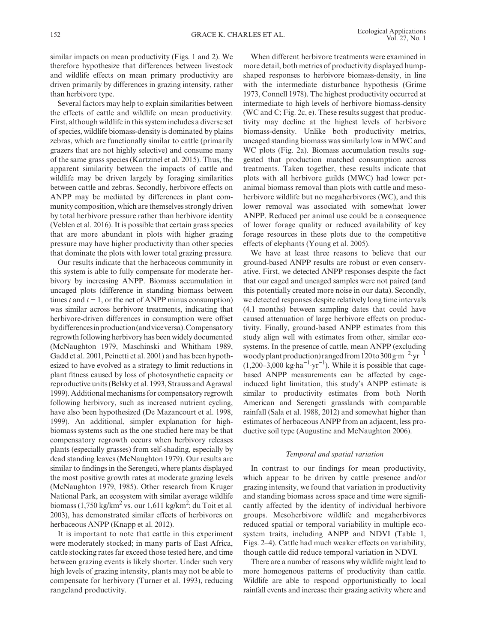similar impacts on mean productivity (Figs. 1 and 2). We therefore hypothesize that differences between livestock and wildlife effects on mean primary productivity are driven primarily by differences in grazing intensity, rather than herbivore type.

Several factors may help to explain similarities between the effects of cattle and wildlife on mean productivity. First, although wildlife in this system includes a diverse set of species, wildlife biomass-density is dominated by plains zebras, which are functionally similar to cattle (primarily grazers that are not highly selective) and consume many of the same grass species (Kartzinel et al. 2015). Thus, the apparent similarity between the impacts of cattle and wildlife may be driven largely by foraging similarities between cattle and zebras. Secondly, herbivore effects on ANPP may be mediated by differences in plant community composition, which are themselves strongly driven by total herbivore pressure rather than herbivore identity (Veblen et al. 2016). It is possible that certain grass species that are more abundant in plots with higher grazing pressure may have higher productivity than other species that dominate the plots with lower total grazing pressure.

Our results indicate that the herbaceous community in this system is able to fully compensate for moderate herbivory by increasing ANPP. Biomass accumulation in uncaged plots (difference in standing biomass between times *t* and  $t - 1$ , or the net of ANPP minus consumption) was similar across herbivore treatments, indicating that herbivore-driven differences in consumption were offset by differences in production (and vice versa). Compensatory regrowth following herbivory has been widely documented (McNaughton 1979, Maschinski and Whitham 1989, Gadd et al. 2001, Peinetti et al. 2001) and has been hypothesized to have evolved as a strategy to limit reductions in plant fitness caused by loss of photosynthetic capacity or reproductive units (Belsky et al. 1993, Strauss and Agrawal 1999). Additional mechanisms for compensatory regrowth following herbivory, such as increased nutrient cycling, have also been hypothesized (De Mazancourt et al. 1998, 1999). An additional, simpler explanation for highbiomass systems such as the one studied here may be that compensatory regrowth occurs when herbivory releases plants (especially grasses) from self-shading, especially by dead standing leaves (McNaughton 1979). Our results are similar to findings in the Serengeti, where plants displayed the most positive growth rates at moderate grazing levels (McNaughton 1979, 1985). Other research from Kruger National Park, an ecosystem with similar average wildlife biomass  $(1,750 \text{ kg/km}^2 \text{ vs.} \text{ our } 1,611 \text{ kg/km}^2 \text{;} \text{ du Toit et al.})$ 2003), has demonstrated similar effects of herbivores on herbaceous ANPP (Knapp et al. 2012).

It is important to note that cattle in this experiment were moderately stocked; in many parts of East Africa, cattle stocking rates far exceed those tested here, and time between grazing events is likely shorter. Under such very high levels of grazing intensity, plants may not be able to compensate for herbivory (Turner et al. 1993), reducing rangeland productivity.

When different herbivore treatments were examined in more detail, both metrics of productivity displayed humpshaped responses to herbivore biomass-density, in line with the intermediate disturbance hypothesis (Grime 1973, Connell 1978). The highest productivity occurred at intermediate to high levels of herbivore biomass-density (WC and C; Fig. 2c, e). These results suggest that productivity may decline at the highest levels of herbivore biomass-density. Unlike both productivity metrics, uncaged standing biomass was similarly low in MWC and WC plots (Fig. 2a). Biomass accumulation results suggested that production matched consumption across treatments. Taken together, these results indicate that plots with all herbivore guilds (MWC) had lower peranimal biomass removal than plots with cattle and mesoherbivore wildlife but no megaherbivores (WC), and this lower removal was associated with somewhat lower ANPP. Reduced per animal use could be a consequence of lower forage quality or reduced availability of key forage resources in these plots due to the competitive effects of elephants (Young et al. 2005).

We have at least three reasons to believe that our ground-based ANPP results are robust or even conservative. First, we detected ANPP responses despite the fact that our caged and uncaged samples were not paired (and this potentially created more noise in our data). Secondly, we detected responses despite relatively long time intervals (4.1 months) between sampling dates that could have caused attenuation of large herbivore effects on productivity. Finally, ground-based ANPP estimates from this study align well with estimates from other, similar ecosystems. In the presence of cattle, mean ANPP (excluding woody plant production) ranged from 120 to 300 g·m<sup>-2</sup>·yr<sup>-1</sup>  $(1,200-3,000 \text{ kg} \cdot \text{ha}^{-1} \cdot \text{yr}^{-1})$ . While it is possible that cagebased ANPP measurements can be affected by cageinduced light limitation, this study's ANPP estimate is similar to productivity estimates from both North American and Serengeti grasslands with comparable rainfall (Sala et al. 1988, 2012) and somewhat higher than estimates of herbaceous ANPP from an adjacent, less productive soil type (Augustine and McNaughton 2006).

## *Temporal and spatial variation*

In contrast to our findings for mean productivity, which appear to be driven by cattle presence and/or grazing intensity, we found that variation in productivity and standing biomass across space and time were significantly affected by the identity of individual herbivore groups. Mesoherbivore wildlife and megaherbivores reduced spatial or temporal variability in multiple ecosystem traits, including ANPP and NDVI (Table 1, Figs. 2–4). Cattle had much weaker effects on variability, though cattle did reduce temporal variation in NDVI.

There are a number of reasons why wildlife might lead to more homogenous patterns of productivity than cattle. Wildlife are able to respond opportunistically to local rainfall events and increase their grazing activity where and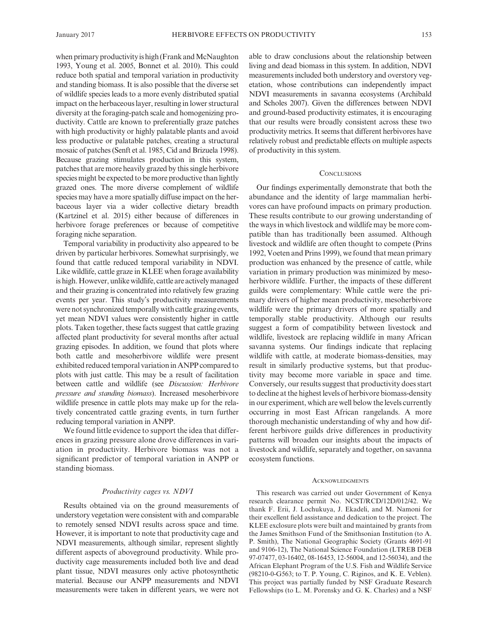when primary productivity is high (Frank and McNaughton 1993, Young et al. 2005, Bonnet et al. 2010). This could reduce both spatial and temporal variation in productivity and standing biomass. It is also possible that the diverse set of wildlife species leads to a more evenly distributed spatial impact on the herbaceous layer, resulting in lower structural diversity at the foraging-patch scale and homogenizing productivity. Cattle are known to preferentially graze patches with high productivity or highly palatable plants and avoid less productive or palatable patches, creating a structural mosaic of patches (Senft et al. 1985, Cid and Brizuela 1998). Because grazing stimulates production in this system, patches that are more heavily grazed by this single herbivore species might be expected to be more productive than lightly grazed ones. The more diverse complement of wildlife species may have a more spatially diffuse impact on the herbaceous layer via a wider collective dietary breadth (Kartzinel et al. 2015) either because of differences in herbivore forage preferences or because of competitive foraging niche separation.

Temporal variability in productivity also appeared to be driven by particular herbivores. Somewhat surprisingly, we found that cattle reduced temporal variability in NDVI. Like wildlife, cattle graze in KLEE when forage availability is high. However, unlike wildlife, cattle are actively managed and their grazing is concentrated into relatively few grazing events per year. This study's productivity measurements were not synchronized temporally with cattle grazing events, yet mean NDVI values were consistently higher in cattle plots. Taken together, these facts suggest that cattle grazing affected plant productivity for several months after actual grazing episodes. In addition, we found that plots where both cattle and mesoherbivore wildlife were present exhibited reduced temporal variation in ANPP compared to plots with just cattle. This may be a result of facilitation between cattle and wildlife (see *Discussion: Herbivore pressure and standing biomass*). Increased mesoherbivore wildlife presence in cattle plots may make up for the relatively concentrated cattle grazing events, in turn further reducing temporal variation in ANPP.

We found little evidence to support the idea that differences in grazing pressure alone drove differences in variation in productivity. Herbivore biomass was not a significant predictor of temporal variation in ANPP or standing biomass.

### *Productivity cages vs. NDVI*

Results obtained via on the ground measurements of understory vegetation were consistent with and comparable to remotely sensed NDVI results across space and time. However, it is important to note that productivity cage and NDVI measurements, although similar, represent slightly different aspects of aboveground productivity. While productivity cage measurements included both live and dead plant tissue, NDVI measures only active photosynthetic material. Because our ANPP measurements and NDVI measurements were taken in different years, we were not able to draw conclusions about the relationship between living and dead biomass in this system. In addition, NDVI measurements included both understory and overstory vegetation, whose contributions can independently impact NDVI measurements in savanna ecosystems (Archibald and Scholes 2007). Given the differences between NDVI and ground-based productivity estimates, it is encouraging that our results were broadly consistent across these two productivity metrics. It seems that different herbivores have relatively robust and predictable effects on multiple aspects of productivity in this system.

## **CONCLUSIONS**

Our findings experimentally demonstrate that both the abundance and the identity of large mammalian herbivores can have profound impacts on primary production. These results contribute to our growing understanding of the ways in which livestock and wildlife may be more compatible than has traditionally been assumed. Although livestock and wildlife are often thought to compete (Prins 1992, Voeten and Prins 1999), we found that mean primary production was enhanced by the presence of cattle, while variation in primary production was minimized by mesoherbivore wildlife. Further, the impacts of these different guilds were complementary: While cattle were the primary drivers of higher mean productivity, mesoherbivore wildlife were the primary drivers of more spatially and temporally stable productivity. Although our results suggest a form of compatibility between livestock and wildlife, livestock are replacing wildlife in many African savanna systems. Our findings indicate that replacing wildlife with cattle, at moderate biomass-densities, may result in similarly productive systems, but that productivity may become more variable in space and time. Conversely, our results suggest that productivity does start to decline at the highest levels of herbivore biomass-density in our experiment, which are well below the levels currently occurring in most East African rangelands. A more thorough mechanistic understanding of why and how different herbivore guilds drive differences in productivity patterns will broaden our insights about the impacts of livestock and wildlife, separately and together, on savanna ecosystem functions.

#### ACKNOWLEDGMENTS

This research was carried out under Government of Kenya research clearance permit No. NCST/RCD/12D/012/42. We thank F. Erii, J. Lochukuya, J. Ekadeli, and M. Namoni for their excellent field assistance and dedication to the project. The KLEE exclosure plots were built and maintained by grants from the James Smithson Fund of the Smithsonian Institution (to A. P. Smith), The National Geographic Society (Grants 4691-91 and 9106-12), The National Science Foundation (LTREB DEB 97-07477, 03-16402, 08-16453, 12-56004, and 12-56034), and the African Elephant Program of the U.S. Fish and Wildlife Service (98210-0-G563; to T. P. Young, C. Riginos, and K. E. Veblen). This project was partially funded by NSF Graduate Research Fellowships (to L. M. Porensky and G. K. Charles) and a NSF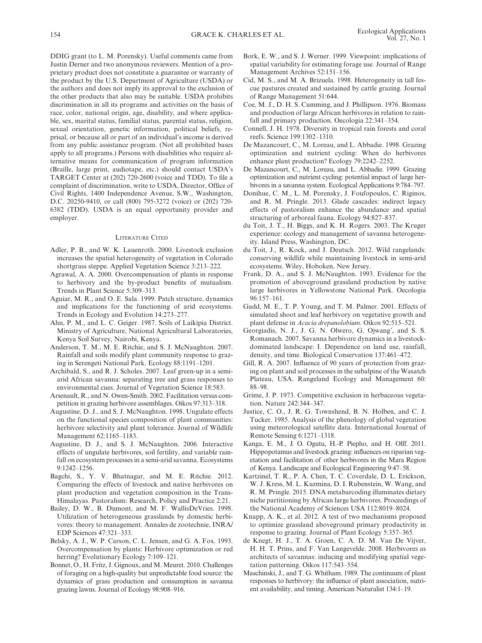DDIG grant (to L. M. Porensky). Useful comments came from Justin Derner and two anonymous reviewers. Mention of a proprietary product does not constitute a guarantee or warranty of the product by the U.S. Department of Agriculture (USDA) or the authors and does not imply its approval to the exclusion of the other products that also may be suitable. USDA prohibits discrimination in all its programs and activities on the basis of race, color, national origin, age, disability, and where applicable, sex, marital status, familial status, parental status, religion, sexual orientation, genetic information, political beliefs, reprisal, or because all or part of an individual's income is derived from any public assistance program. (Not all prohibited bases apply to all programs.) Persons with disabilities who require alternative means for communication of program information (Braille, large print, audiotape, etc.) should contact USDA's TARGET Center at (202) 720-2600 (voice and TDD). To file a complaint of discrimination, write to USDA, Director, Office of Civil Rights, 1400 Independence Avenue, S.W., Washington, D.C. 20250-9410, or call (800) 795-3272 (voice) or (202) 720- 6382 (TDD). USDA is an equal opportunity provider and employer.

### Literature Cited

- Adler, P. B., and W. K. Lauenroth. 2000. Livestock exclusion increases the spatial heterogeneity of vegetation in Colorado shortgrass steppe. Applied Vegetation Science 3:213–222.
- Agrawal, A. A. 2000. Overcompensation of plants in response to herbivory and the by-product benefits of mutualism. Trends in Plant Science 5:309–313.
- Aguiar, M. R., and O. E. Sala. 1999. Patch structure, dynamics and implications for the functioning of arid ecosystems. Trends in Ecology and Evolution 14:273–277.
- Ahn, P. M., and L. C. Geiger. 1987. Soils of Laikipia District. Ministry of Agriculture, National Agricultural Laboratories, Kenya Soil Survey, Nairobi, Kenya.
- Anderson, T. M., M. E. Ritchie, and S. J. McNaughton. 2007. Rainfall and soils modify plant community response to grazing in Serengeti National Park. Ecology 88:1191–1201.
- Archibald, S., and R. J. Scholes. 2007. Leaf green-up in a semiarid African savanna: separating tree and grass responses to environmental cues. Journal of Vegetation Science 18:583.
- Arsenault, R., and N. Owen-Smith. 2002. Facilitation versus competition in grazing herbivore assemblages. Oikos 97:313–318.
- Augustine, D. J., and S. J. McNaughton. 1998. Ungulate effects on the functional species composition of plant communities: herbivore selectivity and plant tolerance. Journal of Wildlife Management 62:1165–1183.
- Augustine, D. J., and S. J. McNaughton. 2006. Interactive effects of ungulate herbivores, soil fertility, and variable rainfall on ecosystem processes in a semi-arid savanna. Ecosystems 9:1242–1256.
- Bagchi, S., Y. V. Bhatnagar, and M. E. Ritchie. 2012. Comparing the effects of livestock and native herbivores on plant production and vegetation composition in the Trans-Himalayas. Pastoralism: Research, Policy and Practice 2:21.
- Bailey, D. W., B. Dumont, and M. F. WallisDeVries. 1998. Utilization of heterogeneous grasslands by domestic herbivores: theory to management. Annales de zootechnie, INRA/ EDP Sciences 47:321–333.
- Belsky, A. J., W. P. Carson, C. L. Jensen, and G. A. Fox. 1993. Overcompensation by plants: Herbivore optimization or red herring? Evolutionary Ecology 7:109–121.
- Bonnet, O., H. Fritz, J. Gignoux, and M. Meuret. 2010. Challenges of foraging on a high-quality but unpredictable food source: the dynamics of grass production and consumption in savanna grazing lawns. Journal of Ecology 98:908–916.
- Bork, E. W., and S. J. Werner. 1999. Viewpoint: implications of spatial variability for estimating forage use. Journal of Range Management Archives 52:151–156.
- Cid, M. S., and M. A. Brizuela. 1998. Heterogeneity in tall fescue pastures created and sustained by cattle grazing. Journal of Range Management 51:644.
- Coe, M. J., D. H. S. Cumming, and J. Phillipson. 1976. Biomass and production of large African herbivores in relation to rainfall and primary production. Oecologia 22:341–354.
- Connell, J. H. 1978. Diversity in tropical rain forests and coral reefs. Science 199:1302–1310.
- De Mazancourt, C., M. Loreau, and L. Abbadie. 1998. Grazing optimization and nutrient cycling: When do herbivores enhance plant production? Ecology 79:2242–2252.
- De Mazancourt, C., M. Loreau, and L. Abbadie. 1999. Grazing optimization and nutrient cycling: potential impact of large herbivores in a savanna system. Ecological Applications 9:784–797.
- Donihue, C. M., L. M. Porensky, J. Foufopoulos, C. Riginos, and R. M. Pringle. 2013. Glade cascades: indirect legacy effects of pastoralism enhance the abundance and spatial structuring of arboreal fauna. Ecology 94:827–837.
- du Toit, J. T., H. Biggs, and K. H. Rogers. 2003. The Kruger experience: ecology and management of savanna heterogeneity. Island Press, Washington, DC.
- du Toit, J., R. Kock, and J. Deutsch. 2012. Wild rangelands: conserving wildlife while maintaining livestock in semi-arid ecosystems. Wiley, Hoboken, New Jersey.
- Frank, D. A., and S. J. McNaughton. 1993. Evidence for the promotion of aboveground grassland production by native large herbivores in Yellowstone National Park. Oecologia 96:157–161.
- Gadd, M. E., T. P. Young, and T. M. Palmer. 2001. Effects of simulated shoot and leaf herbivory on vegetative growth and plant defense in *Acacia drepanolobium*. Oikos 92:515–521.
- Georgiadis, N. J., J. G. N. Olwero, G. Ojwang', and S. S. Romanach. 2007. Savanna herbivore dynamics in a livestockdominated landscape: I. Dependence on land use, rainfall, density, and time. Biological Conservation 137:461–472.
- Gill, R. A. 2007. Influence of 90 years of protection from grazing on plant and soil processes in the subalpine of the Wasatch Plateau, USA. Rangeland Ecology and Management 60: 88–98.
- Grime, J. P. 1973. Competitive exclusion in herbaceous vegetation. Nature 242:344–347.
- Justice, C. O., J. R. G. Townshend, B. N. Holben, and C. J. Tucker. 1985. Analysis of the phenology of global vegetation using meteorological satellite data. International Journal of Remote Sensing 6:1271–1318.
- Kanga, E. M., J. O. Ogutu, H.-P. Piepho, and H. Olff. 2011. Hippopotamus and livestock grazing: influences on riparian vegetation and facilitation of other herbivores in the Mara Region of Kenya. Landscape and Ecological Engineering 9:47–58.
- Kartzinel, T. R., P. A. Chen, T. C. Coverdale, D. L. Erickson, W. J. Kress, M. L. Kuzmina, D. I. Rubenstein, W. Wang, and R. M. Pringle. 2015. DNA metabarcoding illuminates dietary niche partitioning by African large herbivores. Proceedings of the National Academy of Sciences USA 112:8019–8024.
- Knapp, A. K., et al. 2012. A test of two mechanisms proposed to optimize grassland aboveground primary productivity in response to grazing. Journal of Plant Ecology 5:357–365.
- de Knegt, H. J., T. A. Groen, C. A. D. M. Van De Vijver, H. H. T. Prins, and F. Van Langevelde. 2008. Herbivores as architects of savannas: inducing and modifying spatial vegetation patterning. Oikos 117:543–554.
- Maschinski, J., and T. G. Whitham. 1989. The continuum of plant responses to herbivory: the influence of plant association, nutrient availability, and timing. American Naturalist 134:1–19.